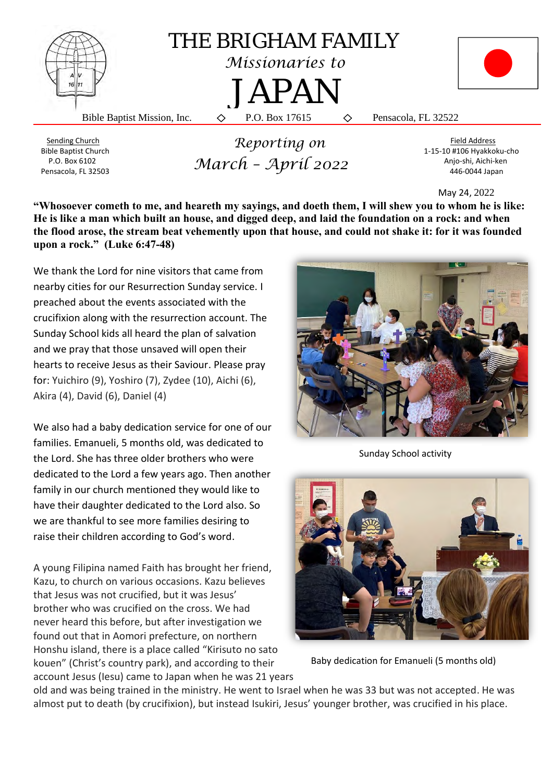

Bible Baptist Church 1-15-10 #106 Hyakkoku-cho P.O. Box 6102 **Annual March - Annual Contract Contract Angle Structure** Anjo-shi, Aichi-ken Pensacola, FL 32503 446-0044 Japan  *March – April 2022*

May 24, 2022

"Whosoever cometh to me, and heareth my sayings, and doeth them, I will shew you to whom he is like: **He is like a man which built an house, and digged deep, and laid the foundation on a rock: and when the flood arose, the stream beat vehemently upon that house, and could not shake it: for it was founded upon a rock." (Luke 6:47-48)**

We thank the Lord for nine visitors that came from nearby cities for our Resurrection Sunday service. I preached about the events associated with the crucifixion along with the resurrection account. The Sunday School kids all heard the plan of salvation and we pray that those unsaved will open their hearts to receive Jesus as their Saviour. Please pray for: Yuichiro (9), Yoshiro (7), Zydee (10), Aichi (6), Akira (4), David (6), Daniel (4)

We also had a baby dedication service for one of our families. Emanueli, 5 months old, was dedicated to the Lord. She has three older brothers who were dedicated to the Lord a few years ago. Then another family in our church mentioned they would like to have their daughter dedicated to the Lord also. So we are thankful to see more families desiring to raise their children according to God's word.

A young Filipina named Faith has brought her friend, Kazu, to church on various occasions. Kazu believes that Jesus was not crucified, but it was Jesus' brother who was crucified on the cross. We had never heard this before, but after investigation we found out that in Aomori prefecture, on northern Honshu island, there is a place called "Kirisuto no sato kouen" (Christ's country park), and according to their account Jesus (Iesu) came to Japan when he was 21 years



Sunday School activity



Baby dedication for Emanueli (5 months old)

old and was being trained in the ministry. He went to Israel when he was 33 but was not accepted. He was almost put to death (by crucifixion), but instead Isukiri, Jesus' younger brother, was crucified in his place.